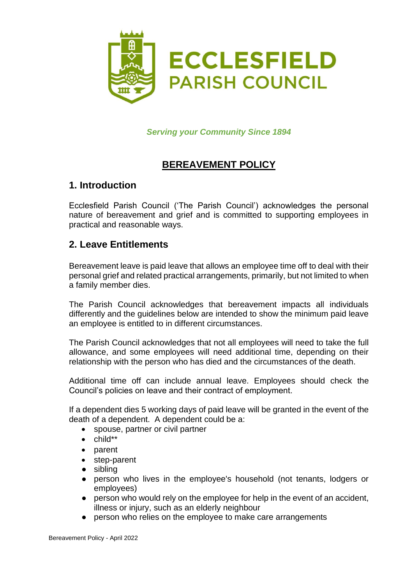

*Serving your Community Since 1894*

# **BEREAVEMENT POLICY**

### **1. Introduction**

Ecclesfield Parish Council ('The Parish Council') acknowledges the personal nature of bereavement and grief and is committed to supporting employees in practical and reasonable ways.

#### **2. Leave Entitlements**

Bereavement leave is paid leave that allows an employee time off to deal with their personal grief and related practical arrangements, primarily, but not limited to when a family member dies.

The Parish Council acknowledges that bereavement impacts all individuals differently and the guidelines below are intended to show the minimum paid leave an employee is entitled to in different circumstances.

The Parish Council acknowledges that not all employees will need to take the full allowance, and some employees will need additional time, depending on their relationship with the person who has died and the circumstances of the death.

Additional time off can include annual leave. Employees should check the Council's policies on leave and their contract of employment.

If a dependent dies 5 working days of paid leave will be granted in the event of the death of a dependent. A dependent could be a:

- spouse, partner or civil partner
- child\*\*
- parent
- step-parent
- sibling
- person who lives in the employee's household (not tenants, lodgers or employees)
- person who would rely on the employee for help in the event of an accident, illness or injury, such as an elderly neighbour
- person who relies on the employee to make care arrangements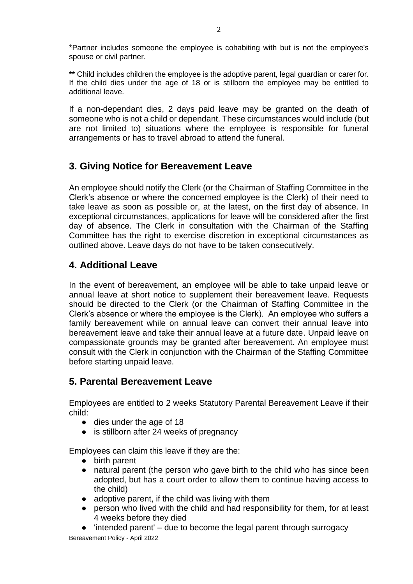\*Partner includes someone the employee is cohabiting with but is not the employee's spouse or civil partner.

**\*\*** Child includes children the employee is the adoptive parent, legal guardian or carer for. If the child dies under the age of 18 or is stillborn the employee may be entitled to additional leave.

If a non-dependant dies, 2 days paid leave may be granted on the death of someone who is not a child or dependant. These circumstances would include (but are not limited to) situations where the employee is responsible for funeral arrangements or has to travel abroad to attend the funeral.

# **3. Giving Notice for Bereavement Leave**

An employee should notify the Clerk (or the Chairman of Staffing Committee in the Clerk's absence or where the concerned employee is the Clerk) of their need to take leave as soon as possible or, at the latest, on the first day of absence. In exceptional circumstances, applications for leave will be considered after the first day of absence. The Clerk in consultation with the Chairman of the Staffing Committee has the right to exercise discretion in exceptional circumstances as outlined above. Leave days do not have to be taken consecutively.

# **4. Additional Leave**

In the event of bereavement, an employee will be able to take unpaid leave or annual leave at short notice to supplement their bereavement leave. Requests should be directed to the Clerk (or the Chairman of Staffing Committee in the Clerk's absence or where the employee is the Clerk). An employee who suffers a family bereavement while on annual leave can convert their annual leave into bereavement leave and take their annual leave at a future date. Unpaid leave on compassionate grounds may be granted after bereavement. An employee must consult with the Clerk in conjunction with the Chairman of the Staffing Committee before starting unpaid leave.

### **5. Parental Bereavement Leave**

Employees are entitled to 2 weeks Statutory Parental Bereavement Leave if their child:

- dies under the age of 18
- is stillborn after 24 weeks of pregnancy

Employees can claim this leave if they are the:

- birth parent
- natural parent (the person who gave birth to the child who has since been adopted, but has a court order to allow them to continue having access to the child)
- adoptive parent, if the child was living with them
- person who lived with the child and had responsibility for them, for at least 4 weeks before they died
- $\bullet$  'intended parent'  $-$  due to become the legal parent through surrogacy

Bereavement Policy - April 2022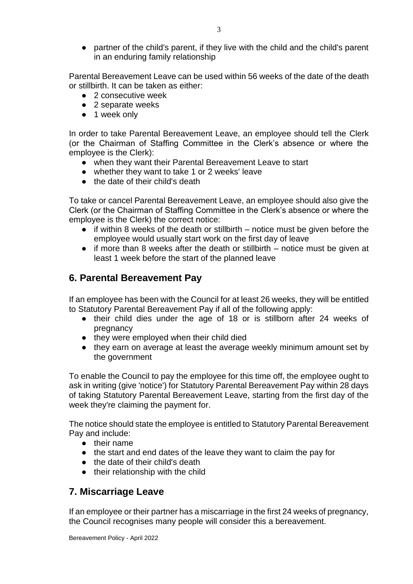● partner of the child's parent, if they live with the child and the child's parent in an enduring family relationship

Parental Bereavement Leave can be used within 56 weeks of the date of the death or stillbirth. It can be taken as either:

- 2 consecutive week
- 2 separate weeks
- 1 week only

In order to take Parental Bereavement Leave, an employee should tell the Clerk (or the Chairman of Staffing Committee in the Clerk's absence or where the employee is the Clerk):

- when they want their Parental Bereavement Leave to start
- whether they want to take 1 or 2 weeks' leave
- the date of their child's death

To take or cancel Parental Bereavement Leave, an employee should also give the Clerk (or the Chairman of Staffing Committee in the Clerk's absence or where the employee is the Clerk) the correct notice:

- $\bullet$  if within 8 weeks of the death or stillbirth notice must be given before the employee would usually start work on the first day of leave
- if more than 8 weeks after the death or stillbirth notice must be given at least 1 week before the start of the planned leave

## **6. Parental Bereavement Pay**

If an employee has been with the Council for at least 26 weeks, they will be entitled to Statutory Parental Bereavement Pay if all of the following apply:

- their child dies under the age of 18 or is stillborn after 24 weeks of pregnancy
- they were employed when their child died
- they earn on average at least the average weekly minimum amount set by the government

To enable the Council to pay the employee for this time off, the employee ought to ask in writing (give 'notice') for Statutory Parental Bereavement Pay within 28 days of taking Statutory Parental Bereavement Leave, starting from the first day of the week they're claiming the payment for.

The notice should state the employee is entitled to Statutory Parental Bereavement Pay and include:

- their name
- the start and end dates of the leave they want to claim the pay for
- the date of their child's death
- their relationship with the child

### **7. Miscarriage Leave**

If an employee or their partner has a miscarriage in the first 24 weeks of pregnancy, the Council recognises many people will consider this a bereavement.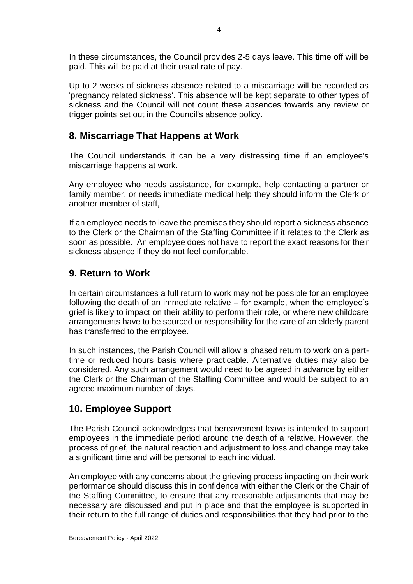In these circumstances, the Council provides 2-5 days leave. This time off will be paid. This will be paid at their usual rate of pay.

Up to 2 weeks of sickness absence related to a miscarriage will be recorded as 'pregnancy related sickness'. This absence will be kept separate to other types of sickness and the Council will not count these absences towards any review or trigger points set out in the Council's absence policy.

# **8. Miscarriage That Happens at Work**

The Council understands it can be a very distressing time if an employee's miscarriage happens at work.

Any employee who needs assistance, for example, help contacting a partner or family member, or needs immediate medical help they should inform the Clerk or another member of staff,

If an employee needs to leave the premises they should report a sickness absence to the Clerk or the Chairman of the Staffing Committee if it relates to the Clerk as soon as possible. An employee does not have to report the exact reasons for their sickness absence if they do not feel comfortable.

## **9. Return to Work**

In certain circumstances a full return to work may not be possible for an employee following the death of an immediate relative – for example, when the employee's grief is likely to impact on their ability to perform their role, or where new childcare arrangements have to be sourced or responsibility for the care of an elderly parent has transferred to the employee.

In such instances, the Parish Council will allow a phased return to work on a parttime or reduced hours basis where practicable. Alternative duties may also be considered. Any such arrangement would need to be agreed in advance by either the Clerk or the Chairman of the Staffing Committee and would be subject to an agreed maximum number of days.

# **10. Employee Support**

The Parish Council acknowledges that bereavement leave is intended to support employees in the immediate period around the death of a relative. However, the process of grief, the natural reaction and adjustment to loss and change may take a significant time and will be personal to each individual.

An employee with any concerns about the grieving process impacting on their work performance should discuss this in confidence with either the Clerk or the Chair of the Staffing Committee, to ensure that any reasonable adjustments that may be necessary are discussed and put in place and that the employee is supported in their return to the full range of duties and responsibilities that they had prior to the